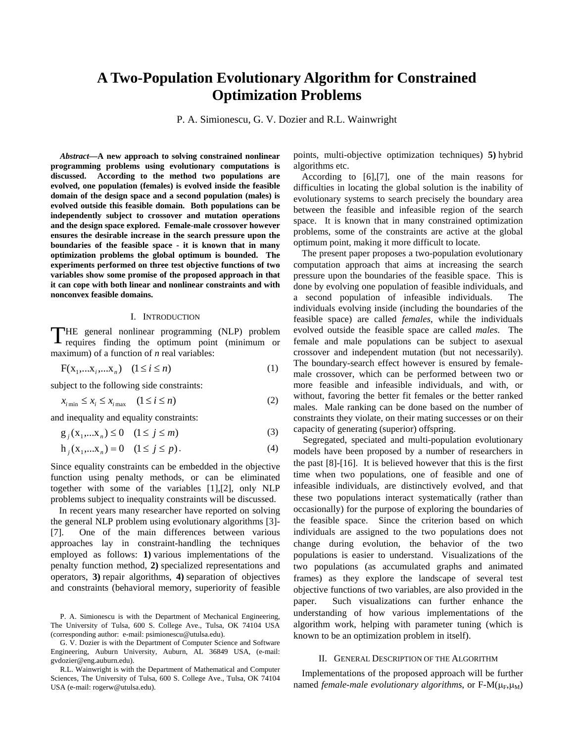# **A Two-Population Evolutionary Algorithm for Constrained Optimization Problems**

P. A. Simionescu, G. V. Dozier and R.L. Wainwright

*Abstract***—A new approach to solving constrained nonlinear programming problems using evolutionary computations is discussed. According to the method two populations are evolved, one population (females) is evolved inside the feasible domain of the design space and a second population (males) is evolved outside this feasible domain. Both populations can be independently subject to crossover and mutation operations and the design space explored. Female-male crossover however ensures the desirable increase in the search pressure upon the boundaries of the feasible space - it is known that in many optimization problems the global optimum is bounded. The experiments performed on three test objective functions of two variables show some promise of the proposed approach in that it can cope with both linear and nonlinear constraints and with nonconvex feasible domains.** 

### I. INTRODUCTION

THE general nonlinear programming (NLP) problem<br>requires finding the optimum point (minimum or requires finding the optimum point (minimum or maximum) of a function of *n* real variables:

$$
F(x_1,...x_i,...x_n) \quad (1 \le i \le n)
$$
 (1)

subject to the following side constraints:

$$
x_{i_{\min}} \le x_i \le x_{i_{\max}} \quad (1 \le i \le n)
$$
 (2)

and inequality and equality constraints:

$$
g_j(x_1,...x_n) \le 0 \quad (1 \le j \le m)
$$
 (3)

$$
h_j(x_1,...x_n) = 0 \quad (1 \le j \le p). \tag{4}
$$

Since equality constraints can be embedded in the objective function using penalty methods, or can be eliminated together with some of the variables [1],[2], only NLP problems subject to inequality constraints will be discussed.

In recent years many researcher have reported on solving the general NLP problem using evolutionary algorithms [3]- [7]. One of the main differences between various approaches lay in constraint-handling the techniques employed as follows: **1)** various implementations of the penalty function method, **2)** specialized representations and operators, **3)** repair algorithms, **4)** separation of objectives and constraints (behavioral memory, superiority of feasible

P. A. Simionescu is with the Department of Mechanical Engineering, The University of Tulsa, 600 S. College Ave., Tulsa, OK 74104 USA (corresponding author: e-mail: psimionescu@utulsa.edu).

G. V. Dozier is with the Department of Computer Science and Software Engineering, Auburn University, Auburn, AL 36849 USA, (e-mail: gvdozier@eng.auburn.edu).

R.L. Wainwright is with the Department of Mathematical and Computer Sciences, The University of Tulsa, 600 S. College Ave., Tulsa, OK 74104 USA (e-mail: rogerw@utulsa.edu).

points, multi-objective optimization techniques) **5)** hybrid algorithms etc.

According to [6],[7], one of the main reasons for difficulties in locating the global solution is the inability of evolutionary systems to search precisely the boundary area between the feasible and infeasible region of the search space. It is known that in many constrained optimization problems, some of the constraints are active at the global optimum point, making it more difficult to locate.

The present paper proposes a two-population evolutionary computation approach that aims at increasing the search pressure upon the boundaries of the feasible space. This is done by evolving one population of feasible individuals, and a second population of infeasible individuals. The individuals evolving inside (including the boundaries of the feasible space) are called *females*, while the individuals evolved outside the feasible space are called *males*. The female and male populations can be subject to asexual crossover and independent mutation (but not necessarily). The boundary-search effect however is ensured by femalemale crossover, which can be performed between two or more feasible and infeasible individuals, and with, or without, favoring the better fit females or the better ranked males. Male ranking can be done based on the number of constraints they violate, on their mating successes or on their capacity of generating (superior) offspring.

Segregated, speciated and multi-population evolutionary models have been proposed by a number of researchers in the past [8]-[16]. It is believed however that this is the first time when two populations, one of feasible and one of infeasible individuals, are distinctively evolved, and that these two populations interact systematically (rather than occasionally) for the purpose of exploring the boundaries of the feasible space. Since the criterion based on which individuals are assigned to the two populations does not change during evolution, the behavior of the two populations is easier to understand. Visualizations of the two populations (as accumulated graphs and animated frames) as they explore the landscape of several test objective functions of two variables, are also provided in the paper. Such visualizations can further enhance the understanding of how various implementations of the algorithm work, helping with parameter tuning (which is known to be an optimization problem in itself).

# II. GENERAL DESCRIPTION OF THE ALGORITHM

Implementations of the proposed approach will be further named *female-male evolutionary algorithms*, or F-M(μ<sub>F</sub>,μ<sub>M</sub>)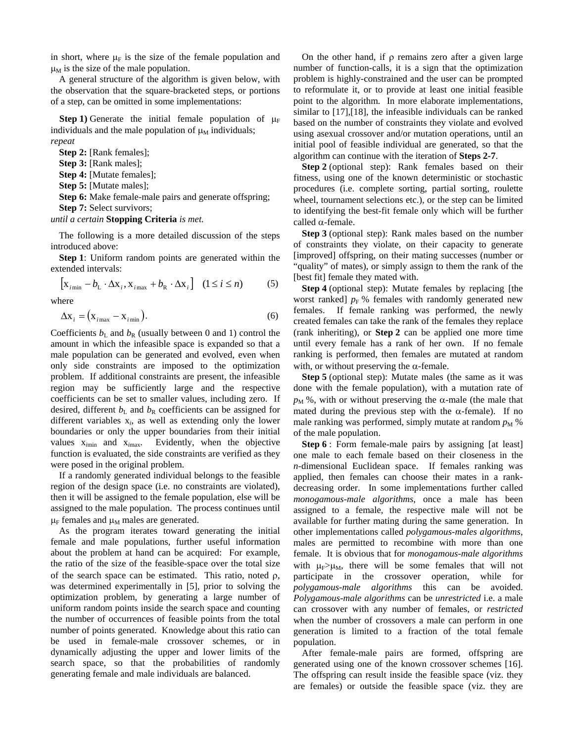in short, where  $\mu_F$  is the size of the female population and  $\mu_M$  is the size of the male population.

A general structure of the algorithm is given below, with the observation that the square-bracketed steps, or portions of a step, can be omitted in some implementations:

**Step 1)** Generate the initial female population of  $\mu_F$ individuals and the male population of  $\mu_M$  individuals; *repeat* 

**Step 2:** [Rank females];

**Step 3:** [Rank males];

**Step 4:** [Mutate females];

**Step 5:** [Mutate males];

**Step 6:** Make female-male pairs and generate offspring;

**Step 7: Select survivors:** 

*until a certain* **Stopping Criteria** *is met.* 

The following is a more detailed discussion of the steps introduced above:

**Step 1**: Uniform random points are generated within the extended intervals:

$$
\left[\mathbf{x}_{i_{\text{min}}} - b_{\text{L}} \cdot \Delta \mathbf{x}_{i}, \mathbf{x}_{i_{\text{max}}} + b_{\text{R}} \cdot \Delta \mathbf{x}_{i}\right] \quad (1 \le i \le n) \tag{5}
$$

where

$$
\Delta \mathbf{x}_{i} = (\mathbf{x}_{i \max} - \mathbf{x}_{i \min}).
$$
\n(6)

Coefficients  $b<sub>L</sub>$  and  $b<sub>R</sub>$  (usually between 0 and 1) control the amount in which the infeasible space is expanded so that a male population can be generated and evolved, even when only side constraints are imposed to the optimization problem. If additional constraints are present, the infeasible region may be sufficiently large and the respective coefficients can be set to smaller values, including zero. If desired, different  $b_L$  and  $b_R$  coefficients can be assigned for different variables x*i*, as well as extending only the lower boundaries or only the upper boundaries from their initial values x*i*min and x*i*max. Evidently, when the objective function is evaluated, the side constraints are verified as they were posed in the original problem.

If a randomly generated individual belongs to the feasible region of the design space (i.e. no constraints are violated), then it will be assigned to the female population, else will be assigned to the male population. The process continues until  $\mu_F$  females and  $\mu_M$  males are generated.

As the program iterates toward generating the initial female and male populations, further useful information about the problem at hand can be acquired: For example, the ratio of the size of the feasible-space over the total size of the search space can be estimated. This ratio, noted  $\rho$ , was determined experimentally in [5], prior to solving the optimization problem, by generating a large number of uniform random points inside the search space and counting the number of occurrences of feasible points from the total number of points generated. Knowledge about this ratio can be used in female-male crossover schemes, or in dynamically adjusting the upper and lower limits of the search space, so that the probabilities of randomly generating female and male individuals are balanced.

On the other hand, if  $\rho$  remains zero after a given large number of function-calls, it is a sign that the optimization problem is highly-constrained and the user can be prompted to reformulate it, or to provide at least one initial feasible point to the algorithm. In more elaborate implementations, similar to [17],[18], the infeasible individuals can be ranked based on the number of constraints they violate and evolved using asexual crossover and/or mutation operations, until an initial pool of feasible individual are generated, so that the algorithm can continue with the iteration of **Steps 2-7**.

**Step 2** (optional step): Rank females based on their fitness, using one of the known deterministic or stochastic procedures (i.e. complete sorting, partial sorting, roulette wheel, tournament selections etc.), or the step can be limited to identifying the best-fit female only which will be further called α-female.

**Step 3** (optional step): Rank males based on the number of constraints they violate, on their capacity to generate [improved] offspring, on their mating successes (number or "quality" of mates), or simply assign to them the rank of the [best fit] female they mated with.

**Step 4** (optional step): Mutate females by replacing [the worst ranked]  $p_F$ % females with randomly generated new females. If female ranking was performed, the newly created females can take the rank of the females they replace (rank inheriting), or **Step 2** can be applied one more time until every female has a rank of her own. If no female ranking is performed, then females are mutated at random with, or without preserving the  $\alpha$ -female.

**Step 5** (optional step): Mutate males (the same as it was done with the female population), with a mutation rate of  $p_M$  %, with or without preserving the  $\alpha$ -male (the male that mated during the previous step with the  $\alpha$ -female). If no male ranking was performed, simply mutate at random  $p_M$  % of the male population.

**Step 6** : Form female-male pairs by assigning [at least] one male to each female based on their closeness in the *n*-dimensional Euclidean space. If females ranking was applied, then females can choose their mates in a rankdecreasing order. In some implementations further called *monogamous-male algorithms*, once a male has been assigned to a female, the respective male will not be available for further mating during the same generation. In other implementations called *polygamous-males algorithms*, males are permitted to recombine with more than one female. It is obvious that for *monogamous-male algorithms* with  $\mu_F > \mu_M$ , there will be some females that will not participate in the crossover operation, while for *polygamous-male algorithms* this can be avoided. *Polygamous-male algorithms* can be *unrestricted* i.e. a male can crossover with any number of females, or *restricted* when the number of crossovers a male can perform in one generation is limited to a fraction of the total female population.

After female-male pairs are formed, offspring are generated using one of the known crossover schemes [16]. The offspring can result inside the feasible space (viz. they are females) or outside the feasible space (viz. they are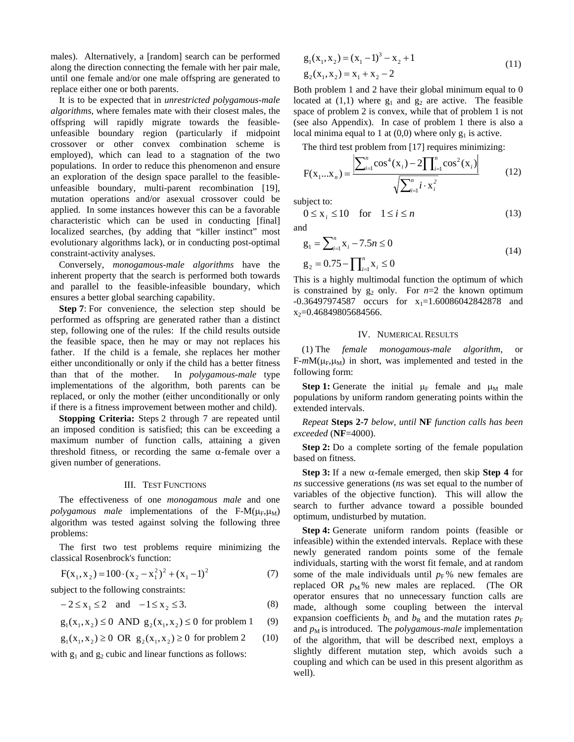males). Alternatively, a [random] search can be performed along the direction connecting the female with her pair male, until one female and/or one male offspring are generated to replace either one or both parents.

It is to be expected that in *unrestricted polygamous-male algorithms*, where females mate with their closest males, the offspring will rapidly migrate towards the feasibleunfeasible boundary region (particularly if midpoint crossover or other convex combination scheme is employed), which can lead to a stagnation of the two populations. In order to reduce this phenomenon and ensure an exploration of the design space parallel to the feasibleunfeasible boundary, multi-parent recombination [19], mutation operations and/or asexual crossover could be applied. In some instances however this can be a favorable characteristic which can be used in conducting [final] localized searches, (by adding that "killer instinct" most evolutionary algorithms lack), or in conducting post-optimal constraint-activity analyses.

Conversely, *monogamous-male algorithms* have the inherent property that the search is performed both towards and parallel to the feasible-infeasible boundary, which ensures a better global searching capability.

**Step 7**: For convenience, the selection step should be performed as offspring are generated rather than a distinct step, following one of the rules: If the child results outside the feasible space, then he may or may not replaces his father. If the child is a female, she replaces her mother either unconditionally or only if the child has a better fitness than that of the mother. In *polygamous-male* type implementations of the algorithm, both parents can be replaced, or only the mother (either unconditionally or only if there is a fitness improvement between mother and child).

**Stopping Criteria:** Steps 2 through 7 are repeated until an imposed condition is satisfied; this can be exceeding a maximum number of function calls, attaining a given threshold fitness, or recording the same  $\alpha$ -female over a given number of generations.

# III. TEST FUNCTIONS

The effectiveness of one *monogamous male* and one *polygamous male* implementations of the F-M( $\mu_F$ , $\mu_M$ ) algorithm was tested against solving the following three problems:

The first two test problems require minimizing the classical Rosenbrock's function:

$$
F(x_1, x_2) = 100 \cdot (x_2 - x_1^2)^2 + (x_1 - 1)^2
$$
 (7)

subject to the following constraints:

$$
-2 \le x_1 \le 2 \quad \text{and} \quad -1 \le x_2 \le 3. \tag{8}
$$

$$
g_1(x_1, x_2) \le 0
$$
 AND  $g_2(x_1, x_2) \le 0$  for problem 1 (9)

$$
g_1(x_1, x_2) \ge 0
$$
 OR  $g_2(x_1, x_2) \ge 0$  for problem 2 (10)

with  $g_1$  and  $g_2$  cubic and linear functions as follows:

$$
g_1(x_1, x_2) = (x_1 - 1)^3 - x_2 + 1
$$
  
\n
$$
g_2(x_1, x_2) = x_1 + x_2 - 2
$$
\n(11)

Both problem 1 and 2 have their global minimum equal to 0 located at  $(1,1)$  where  $g_1$  and  $g_2$  are active. The feasible space of problem 2 is convex, while that of problem 1 is not (see also Appendix). In case of problem 1 there is also a local minima equal to 1 at  $(0,0)$  where only  $g_1$  is active.

The third test problem from [17] requires minimizing:

$$
F(x_1...x_n) = \frac{\left|\sum_{i=1}^n \cos^4(x_i) - 2\right| \prod_{i=1}^n \cos^2(x_i)\right|}{\sqrt{\sum_{i=1}^n i \cdot x_i^2}}
$$
(12)

subject to:

 $0 \le x_i \le 10$  for  $1 \le i \le n$  (13)

and

$$
g_1 = \sum_{i=1}^{n} x_i - 7.5n \le 0
$$
  
\n
$$
g_2 = 0.75 - \prod_{i=1}^{n} x_i \le 0
$$
\n(14)

This is a highly multimodal function the optimum of which is constrained by  $g_2$  only. For  $n=2$  the known optimum  $-0.36497974587$  occurs for  $x_1=1.60086042842878$  and x<sub>2</sub>=0.46849805684566.

#### IV. NUMERICAL RESULTS

(1) The *female monogamous-male algorithm*, or  $F-mM(\mu_F,\mu_M)$  in short, was implemented and tested in the following form:

**Step 1:** Generate the initial  $\mu_F$  female and  $\mu_M$  male populations by uniform random generating points within the extended intervals.

*Repeat* **Steps 2-7** *below, until* **NF** *function calls has been exceeded* (**NF**=4000).

**Step 2:** Do a complete sorting of the female population based on fitness.

**Step 3:** If a new α-female emerged, then skip **Step 4** for *ns* successive generations (*ns* was set equal to the number of variables of the objective function). This will allow the search to further advance toward a possible bounded optimum, undisturbed by mutation.

**Step 4:** Generate uniform random points (feasible or infeasible) within the extended intervals. Replace with these newly generated random points some of the female individuals, starting with the worst fit female, and at random some of the male individuals until  $p_F$ % new females are replaced OR  $p_M$ % new males are replaced. (The OR operator ensures that no unnecessary function calls are made, although some coupling between the interval expansion coefficients  $b<sub>L</sub>$  and  $b<sub>R</sub>$  and the mutation rates  $p<sub>F</sub>$ and  $p_M$  is introduced. The *polygamous-male* implementation of the algorithm, that will be described next, employs a slightly different mutation step, which avoids such a coupling and which can be used in this present algorithm as well).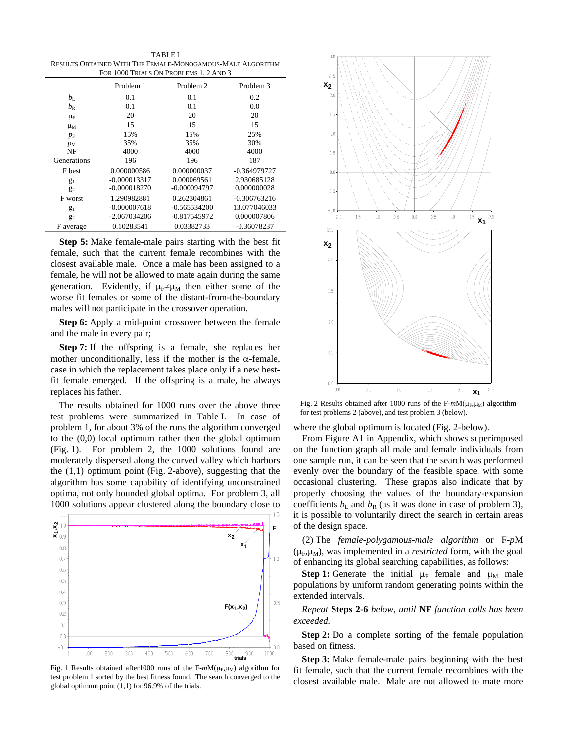TABLE I RESULTS OBTAINED WITH THE FEMALE-MONOGAMOUS-MALE ALGORITHM FOR 1000 TRIALS ON PROBLEMS 1, 2 AND 3

|               | Problem 1      | Problem 2      | Problem 3      |
|---------------|----------------|----------------|----------------|
| $b_{\rm L}$   | 0.1            | 0.1            | 0.2            |
| $b_{\rm R}$   | 0.1            | 0.1            | 0.0            |
| $\mu_F$       | 20             | 20             | 20             |
| $\mu_{\rm M}$ | 15             | 15             | 15             |
| $p_{\rm F}$   | 15%            | 15%            | 25%            |
| $p_M$         | 35%            | 35%            | 30%            |
| NF            | 4000           | 4000           | 4000           |
| Generations   | 196            | 196            | 187            |
| F best        | 0.000000586    | 0.000000037    | $-0.364979727$ |
| $g_1$         | $-0.000013317$ | 0.000069561    | 2.930685128    |
| $g_2$         | $-0.000018270$ | $-0.000094797$ | 0.000000028    |
| F worst       | 1.290982881    | 0.262304861    | $-0.306763216$ |
| $g_1$         | $-0.000007618$ | $-0.565534200$ | 13.077046033   |
| $g_2$         | $-2.067034206$ | $-0.817545972$ | 0.000007806    |
| F average     | 0.10283541     | 0.03382733     | $-0.36078237$  |

**Step 5:** Make female-male pairs starting with the best fit female, such that the current female recombines with the closest available male. Once a male has been assigned to a female, he will not be allowed to mate again during the same generation. Evidently, if  $\mu_F \neq \mu_M$  then either some of the worse fit females or some of the distant-from-the-boundary males will not participate in the crossover operation.

**Step 6:** Apply a mid-point crossover between the female and the male in every pair;

**Step 7:** If the offspring is a female, she replaces her mother unconditionally, less if the mother is the  $\alpha$ -female, case in which the replacement takes place only if a new bestfit female emerged. If the offspring is a male, he always replaces his father.

The results obtained for 1000 runs over the above three test problems were summarized in Table I. In case of problem 1, for about 3% of the runs the algorithm converged to the (0,0) local optimum rather then the global optimum (Fig. 1). For problem 2, the 1000 solutions found are moderately dispersed along the curved valley which harbors the (1,1) optimum point (Fig. 2-above), suggesting that the algorithm has some capability of identifying unconstrained optima, not only bounded global optima. For problem 3, all 1000 solutions appear clustered along the boundary close to



Fig. 1 Results obtained after1000 runs of the F-mM(μ<sub>F</sub>,μ<sub>M</sub>) algorithm for test problem 1 sorted by the best fitness found. The search converged to the global optimum point (1,1) for 96.9% of the trials.



Fig. 2 Results obtained after 1000 runs of the  $F-mM(\mu_F,\mu_M)$  algorithm for test problems 2 (above), and test problem 3 (below).

where the global optimum is located (Fig. 2-below).

From Figure A1 in Appendix, which shows superimposed on the function graph all male and female individuals from one sample run, it can be seen that the search was performed evenly over the boundary of the feasible space, with some occasional clustering. These graphs also indicate that by properly choosing the values of the boundary-expansion coefficients  $b_L$  and  $b_R$  (as it was done in case of problem 3), it is possible to voluntarily direct the search in certain areas of the design space.

(2) The *female-polygamous-male algorithm* or F-*p*M  $(\mu_F, \mu_M)$ , was implemented in a *restricted* form, with the goal of enhancing its global searching capabilities, as follows:

**Step 1:** Generate the initial  $\mu_F$  female and  $\mu_M$  male populations by uniform random generating points within the extended intervals.

*Repeat* **Steps 2-6** *below, until* **NF** *function calls has been exceeded.* 

**Step 2:** Do a complete sorting of the female population based on fitness.

**Step 3:** Make female-male pairs beginning with the best fit female, such that the current female recombines with the closest available male. Male are not allowed to mate more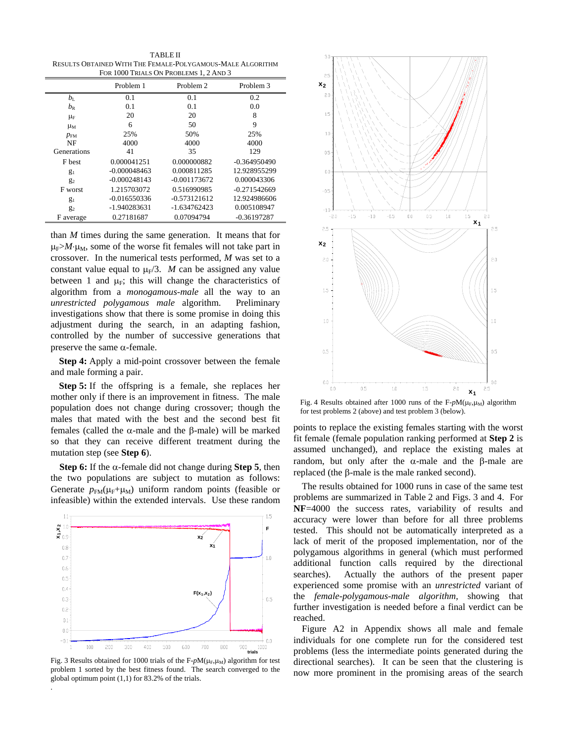TABLE II RESULTS OBTAINED WITH THE FEMALE-POLYGAMOUS-MALE ALGORITHM FOR 1000 TRIALS ON PROBLEMS 1, 2 AND 3

|               | Problem 1      | Problem 2      | Problem 3      |
|---------------|----------------|----------------|----------------|
| $b_{\rm L}$   | 0.1            | 0.1            | 0.2            |
| $b_{\rm R}$   | 0.1            | 0.1            | 0.0            |
| $\mu_F$       | 20             | 20             | 8              |
| $\mu_{\rm M}$ | 6              | 50             | 9              |
| $p_{FM}$      | 25%            | 50%            | 25%            |
| NF            | 4000           | 4000           | 4000           |
| Generations   | 41             | 35             | 129            |
| F best        | 0.000041251    | 0.000000882    | $-0.364950490$ |
| $g_1$         | $-0.000048463$ | 0.000811285    | 12.928955299   |
| $g_2$         | $-0.000248143$ | $-0.001173672$ | 0.000043306    |
| F worst       | 1.215703072    | 0.516990985    | $-0.271542669$ |
| $g_1$         | $-0.016550336$ | $-0.573121612$ | 12.924986606   |
| $g_2$         | -1.940283631   | $-1.634762423$ | 0.005108947    |
| F average     | 0.27181687     | 0.07094794     | $-0.36197287$  |

than *M* times during the same generation. It means that for  $\mu_F > M \cdot \mu_M$ , some of the worse fit females will not take part in crossover. In the numerical tests performed, *M* was set to a constant value equal to  $\mu_F/3$ . *M* can be assigned any value between 1 and  $\mu$ <sub>F</sub>; this will change the characteristics of algorithm from a *monogamous-male* all the way to an *unrestricted polygamous male* algorithm. Preliminary investigations show that there is some promise in doing this adjustment during the search, in an adapting fashion, controlled by the number of successive generations that preserve the same  $α$ -female.

**Step 4:** Apply a mid-point crossover between the female and male forming a pair.

**Step 5:** If the offspring is a female, she replaces her mother only if there is an improvement in fitness. The male population does not change during crossover; though the males that mated with the best and the second best fit females (called the α-male and the β-male) will be marked so that they can receive different treatment during the mutation step (see **Step 6**).

**Step 6:** If the α-female did not change during **Step 5**, then the two populations are subject to mutation as follows: Generate  $p_{FM}(\mu_F+\mu_M)$  uniform random points (feasible or infeasible) within the extended intervals. Use these random



Fig. 3 Results obtained for 1000 trials of the F-pM(μ<sub>F</sub>,μ<sub>M</sub>) algorithm for test problem 1 sorted by the best fitness found. The search converged to the global optimum point (1,1) for 83.2% of the trials.

.



Fig. 4 Results obtained after 1000 runs of the F-pM(μ<sub>F</sub>,μ<sub>M</sub>) algorithm for test problems 2 (above) and test problem 3 (below).

points to replace the existing females starting with the worst fit female (female population ranking performed at **Step 2** is assumed unchanged), and replace the existing males at random, but only after the α-male and the β-male are replaced (the β-male is the male ranked second).

The results obtained for 1000 runs in case of the same test problems are summarized in Table 2 and Figs. 3 and 4. For **NF**=4000 the success rates, variability of results and accuracy were lower than before for all three problems tested. This should not be automatically interpreted as a lack of merit of the proposed implementation, nor of the polygamous algorithms in general (which must performed additional function calls required by the directional searches). Actually the authors of the present paper experienced some promise with an *unrestricted* variant of the *female-polygamous-male algorithm,* showing that further investigation is needed before a final verdict can be reached.

Figure A2 in Appendix shows all male and female individuals for one complete run for the considered test problems (less the intermediate points generated during the directional searches). It can be seen that the clustering is now more prominent in the promising areas of the search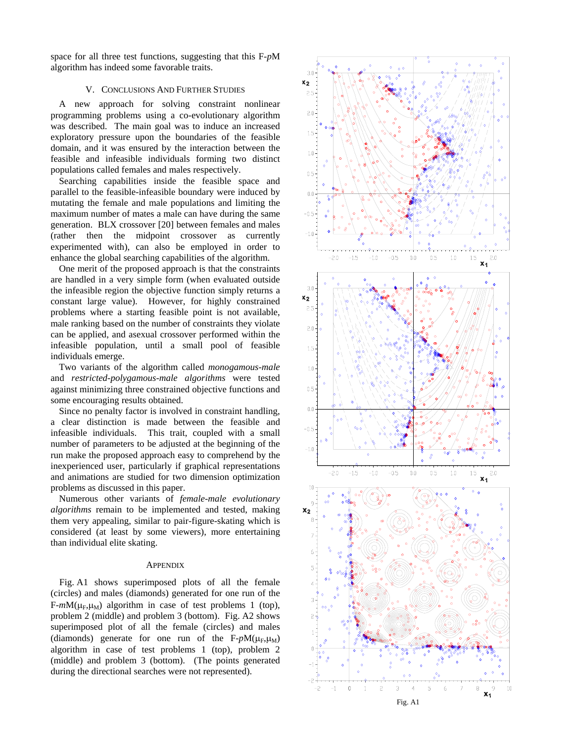space for all three test functions, suggesting that this F-*p*M algorithm has indeed some favorable traits.

### V. CONCLUSIONS AND FURTHER STUDIES

A new approach for solving constraint nonlinear programming problems using a co-evolutionary algorithm was described. The main goal was to induce an increased exploratory pressure upon the boundaries of the feasible domain, and it was ensured by the interaction between the feasible and infeasible individuals forming two distinct populations called females and males respectively.

Searching capabilities inside the feasible space and parallel to the feasible-infeasible boundary were induced by mutating the female and male populations and limiting the maximum number of mates a male can have during the same generation. BLX crossover [20] between females and males (rather then the midpoint crossover as currently experimented with), can also be employed in order to enhance the global searching capabilities of the algorithm.

One merit of the proposed approach is that the constraints are handled in a very simple form (when evaluated outside the infeasible region the objective function simply returns a constant large value). However, for highly constrained problems where a starting feasible point is not available, male ranking based on the number of constraints they violate can be applied, and asexual crossover performed within the infeasible population, until a small pool of feasible individuals emerge.

Two variants of the algorithm called *monogamous-male* and *restricted-polygamous-male algorithms* were tested against minimizing three constrained objective functions and some encouraging results obtained.

Since no penalty factor is involved in constraint handling, a clear distinction is made between the feasible and infeasible individuals. This trait, coupled with a small number of parameters to be adjusted at the beginning of the run make the proposed approach easy to comprehend by the inexperienced user, particularly if graphical representations and animations are studied for two dimension optimization problems as discussed in this paper.

Numerous other variants of *female-male evolutionary algorithms* remain to be implemented and tested, making them very appealing, similar to pair-figure-skating which is considered (at least by some viewers), more entertaining than individual elite skating.<br>APPENDIX

Fig. A1 shows superimposed plots of all the female (circles) and males (diamonds) generated for one run of the  $F-mM(\mu_F, \mu_M)$  algorithm in case of test problems 1 (top), problem 2 (middle) and problem 3 (bottom). Fig. A2 shows superimposed plot of all the female (circles) and males (diamonds) generate for one run of the  $F$ - $pM(\mu_F, \mu_M)$ algorithm in case of test problems 1 (top), problem 2 (middle) and problem 3 (bottom). (The points generated during the directional searches were not represented).